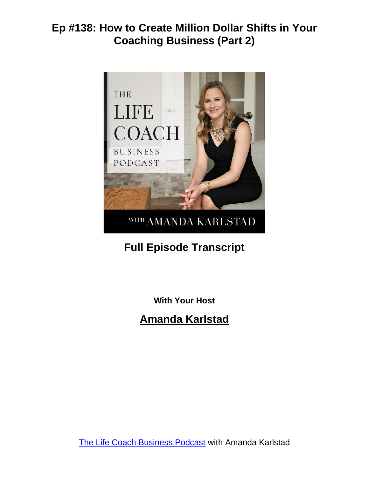

# **Full Episode Transcript**

**With Your Host**

**Amanda Karlstad**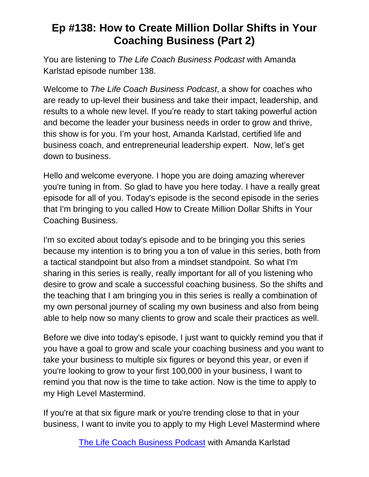You are listening to *The Life Coach Business Podcast* with Amanda Karlstad episode number 138.

Welcome to *The Life Coach Business Podcast*, a show for coaches who are ready to up-level their business and take their impact, leadership, and results to a whole new level. If you're ready to start taking powerful action and become the leader your business needs in order to grow and thrive, this show is for you. I'm your host, Amanda Karlstad, certified life and business coach, and entrepreneurial leadership expert. Now, let's get down to business.

Hello and welcome everyone. I hope you are doing amazing wherever you're tuning in from. So glad to have you here today. I have a really great episode for all of you. Today's episode is the second episode in the series that I'm bringing to you called How to Create Million Dollar Shifts in Your Coaching Business.

I'm so excited about today's episode and to be bringing you this series because my intention is to bring you a ton of value in this series, both from a tactical standpoint but also from a mindset standpoint. So what I'm sharing in this series is really, really important for all of you listening who desire to grow and scale a successful coaching business. So the shifts and the teaching that I am bringing you in this series is really a combination of my own personal journey of scaling my own business and also from being able to help now so many clients to grow and scale their practices as well.

Before we dive into today's episode, I just want to quickly remind you that if you have a goal to grow and scale your coaching business and you want to take your business to multiple six figures or beyond this year, or even if you're looking to grow to your first 100,000 in your business, I want to remind you that now is the time to take action. Now is the time to apply to my High Level Mastermind.

If you're at that six figure mark or you're trending close to that in your business, I want to invite you to apply to my High Level Mastermind where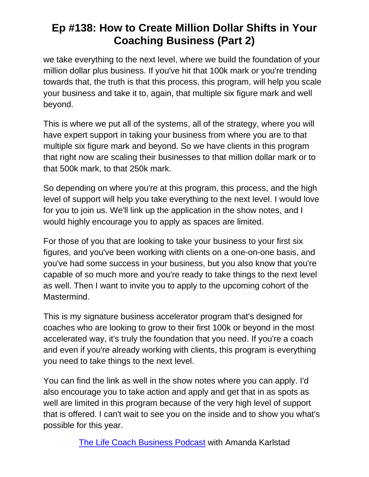we take everything to the next level, where we build the foundation of your million dollar plus business. If you've hit that 100k mark or you're trending towards that, the truth is that this process, this program, will help you scale your business and take it to, again, that multiple six figure mark and well beyond.

This is where we put all of the systems, all of the strategy, where you will have expert support in taking your business from where you are to that multiple six figure mark and beyond. So we have clients in this program that right now are scaling their businesses to that million dollar mark or to that 500k mark, to that 250k mark.

So depending on where you're at this program, this process, and the high level of support will help you take everything to the next level. I would love for you to join us. We'll link up the application in the show notes, and I would highly encourage you to apply as spaces are limited.

For those of you that are looking to take your business to your first six figures, and you've been working with clients on a one-on-one basis, and you've had some success in your business, but you also know that you're capable of so much more and you're ready to take things to the next level as well. Then I want to invite you to apply to the upcoming cohort of the Mastermind.

This is my signature business accelerator program that's designed for coaches who are looking to grow to their first 100k or beyond in the most accelerated way, it's truly the foundation that you need. If you're a coach and even if you're already working with clients, this program is everything you need to take things to the next level.

You can find the link as well in the show notes where you can apply. I'd also encourage you to take action and apply and get that in as spots as well are limited in this program because of the very high level of support that is offered. I can't wait to see you on the inside and to show you what's possible for this year.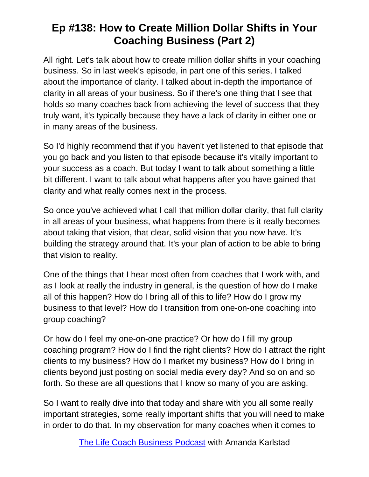All right. Let's talk about how to create million dollar shifts in your coaching business. So in last week's episode, in part one of this series, I talked about the importance of clarity. I talked about in-depth the importance of clarity in all areas of your business. So if there's one thing that I see that holds so many coaches back from achieving the level of success that they truly want, it's typically because they have a lack of clarity in either one or in many areas of the business.

So I'd highly recommend that if you haven't yet listened to that episode that you go back and you listen to that episode because it's vitally important to your success as a coach. But today I want to talk about something a little bit different. I want to talk about what happens after you have gained that clarity and what really comes next in the process.

So once you've achieved what I call that million dollar clarity, that full clarity in all areas of your business, what happens from there is it really becomes about taking that vision, that clear, solid vision that you now have. It's building the strategy around that. It's your plan of action to be able to bring that vision to reality.

One of the things that I hear most often from coaches that I work with, and as I look at really the industry in general, is the question of how do I make all of this happen? How do I bring all of this to life? How do I grow my business to that level? How do I transition from one-on-one coaching into group coaching?

Or how do I feel my one-on-one practice? Or how do I fill my group coaching program? How do I find the right clients? How do I attract the right clients to my business? How do I market my business? How do I bring in clients beyond just posting on social media every day? And so on and so forth. So these are all questions that I know so many of you are asking.

So I want to really dive into that today and share with you all some really important strategies, some really important shifts that you will need to make in order to do that. In my observation for many coaches when it comes to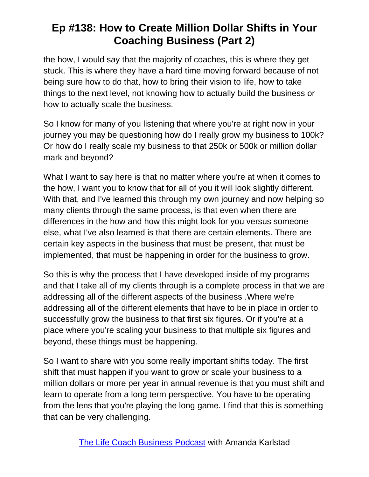the how, I would say that the majority of coaches, this is where they get stuck. This is where they have a hard time moving forward because of not being sure how to do that, how to bring their vision to life, how to take things to the next level, not knowing how to actually build the business or how to actually scale the business.

So I know for many of you listening that where you're at right now in your journey you may be questioning how do I really grow my business to 100k? Or how do I really scale my business to that 250k or 500k or million dollar mark and beyond?

What I want to say here is that no matter where you're at when it comes to the how, I want you to know that for all of you it will look slightly different. With that, and I've learned this through my own journey and now helping so many clients through the same process, is that even when there are differences in the how and how this might look for you versus someone else, what I've also learned is that there are certain elements. There are certain key aspects in the business that must be present, that must be implemented, that must be happening in order for the business to grow.

So this is why the process that I have developed inside of my programs and that I take all of my clients through is a complete process in that we are addressing all of the different aspects of the business .Where we're addressing all of the different elements that have to be in place in order to successfully grow the business to that first six figures. Or if you're at a place where you're scaling your business to that multiple six figures and beyond, these things must be happening.

So I want to share with you some really important shifts today. The first shift that must happen if you want to grow or scale your business to a million dollars or more per year in annual revenue is that you must shift and learn to operate from a long term perspective. You have to be operating from the lens that you're playing the long game. I find that this is something that can be very challenging.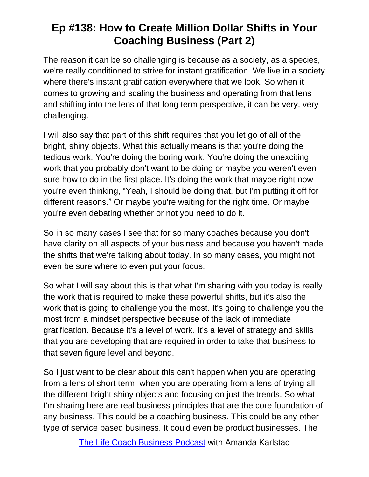The reason it can be so challenging is because as a society, as a species, we're really conditioned to strive for instant gratification. We live in a society where there's instant gratification everywhere that we look. So when it comes to growing and scaling the business and operating from that lens and shifting into the lens of that long term perspective, it can be very, very challenging.

I will also say that part of this shift requires that you let go of all of the bright, shiny objects. What this actually means is that you're doing the tedious work. You're doing the boring work. You're doing the unexciting work that you probably don't want to be doing or maybe you weren't even sure how to do in the first place. It's doing the work that maybe right now you're even thinking, "Yeah, I should be doing that, but I'm putting it off for different reasons." Or maybe you're waiting for the right time. Or maybe you're even debating whether or not you need to do it.

So in so many cases I see that for so many coaches because you don't have clarity on all aspects of your business and because you haven't made the shifts that we're talking about today. In so many cases, you might not even be sure where to even put your focus.

So what I will say about this is that what I'm sharing with you today is really the work that is required to make these powerful shifts, but it's also the work that is going to challenge you the most. It's going to challenge you the most from a mindset perspective because of the lack of immediate gratification. Because it's a level of work. It's a level of strategy and skills that you are developing that are required in order to take that business to that seven figure level and beyond.

So I just want to be clear about this can't happen when you are operating from a lens of short term, when you are operating from a lens of trying all the different bright shiny objects and focusing on just the trends. So what I'm sharing here are real business principles that are the core foundation of any business. This could be a coaching business. This could be any other type of service based business. It could even be product businesses. The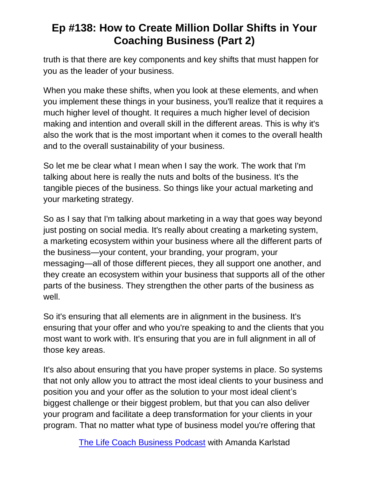truth is that there are key components and key shifts that must happen for you as the leader of your business.

When you make these shifts, when you look at these elements, and when you implement these things in your business, you'll realize that it requires a much higher level of thought. It requires a much higher level of decision making and intention and overall skill in the different areas. This is why it's also the work that is the most important when it comes to the overall health and to the overall sustainability of your business.

So let me be clear what I mean when I say the work. The work that I'm talking about here is really the nuts and bolts of the business. It's the tangible pieces of the business. So things like your actual marketing and your marketing strategy.

So as I say that I'm talking about marketing in a way that goes way beyond just posting on social media. It's really about creating a marketing system, a marketing ecosystem within your business where all the different parts of the business—your content, your branding, your program, your messaging—all of those different pieces, they all support one another, and they create an ecosystem within your business that supports all of the other parts of the business. They strengthen the other parts of the business as well.

So it's ensuring that all elements are in alignment in the business. It's ensuring that your offer and who you're speaking to and the clients that you most want to work with. It's ensuring that you are in full alignment in all of those key areas.

It's also about ensuring that you have proper systems in place. So systems that not only allow you to attract the most ideal clients to your business and position you and your offer as the solution to your most ideal client's biggest challenge or their biggest problem, but that you can also deliver your program and facilitate a deep transformation for your clients in your program. That no matter what type of business model you're offering that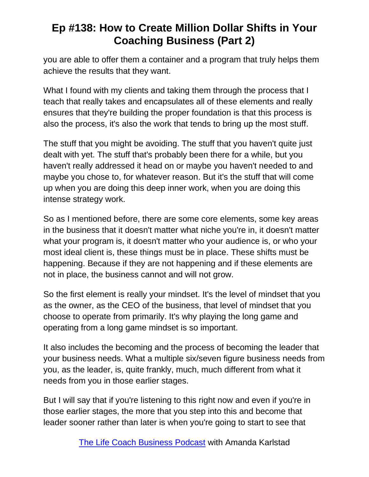you are able to offer them a container and a program that truly helps them achieve the results that they want.

What I found with my clients and taking them through the process that I teach that really takes and encapsulates all of these elements and really ensures that they're building the proper foundation is that this process is also the process, it's also the work that tends to bring up the most stuff.

The stuff that you might be avoiding. The stuff that you haven't quite just dealt with yet. The stuff that's probably been there for a while, but you haven't really addressed it head on or maybe you haven't needed to and maybe you chose to, for whatever reason. But it's the stuff that will come up when you are doing this deep inner work, when you are doing this intense strategy work.

So as I mentioned before, there are some core elements, some key areas in the business that it doesn't matter what niche you're in, it doesn't matter what your program is, it doesn't matter who your audience is, or who your most ideal client is, these things must be in place. These shifts must be happening. Because if they are not happening and if these elements are not in place, the business cannot and will not grow.

So the first element is really your mindset. It's the level of mindset that you as the owner, as the CEO of the business, that level of mindset that you choose to operate from primarily. It's why playing the long game and operating from a long game mindset is so important.

It also includes the becoming and the process of becoming the leader that your business needs. What a multiple six/seven figure business needs from you, as the leader, is, quite frankly, much, much different from what it needs from you in those earlier stages.

But I will say that if you're listening to this right now and even if you're in those earlier stages, the more that you step into this and become that leader sooner rather than later is when you're going to start to see that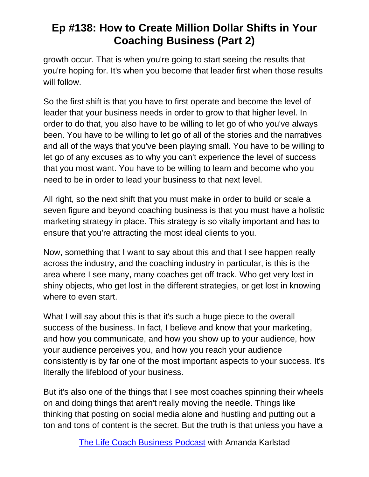growth occur. That is when you're going to start seeing the results that you're hoping for. It's when you become that leader first when those results will follow.

So the first shift is that you have to first operate and become the level of leader that your business needs in order to grow to that higher level. In order to do that, you also have to be willing to let go of who you've always been. You have to be willing to let go of all of the stories and the narratives and all of the ways that you've been playing small. You have to be willing to let go of any excuses as to why you can't experience the level of success that you most want. You have to be willing to learn and become who you need to be in order to lead your business to that next level.

All right, so the next shift that you must make in order to build or scale a seven figure and beyond coaching business is that you must have a holistic marketing strategy in place. This strategy is so vitally important and has to ensure that you're attracting the most ideal clients to you.

Now, something that I want to say about this and that I see happen really across the industry, and the coaching industry in particular, is this is the area where I see many, many coaches get off track. Who get very lost in shiny objects, who get lost in the different strategies, or get lost in knowing where to even start.

What I will say about this is that it's such a huge piece to the overall success of the business. In fact, I believe and know that your marketing, and how you communicate, and how you show up to your audience, how your audience perceives you, and how you reach your audience consistently is by far one of the most important aspects to your success. It's literally the lifeblood of your business.

But it's also one of the things that I see most coaches spinning their wheels on and doing things that aren't really moving the needle. Things like thinking that posting on social media alone and hustling and putting out a ton and tons of content is the secret. But the truth is that unless you have a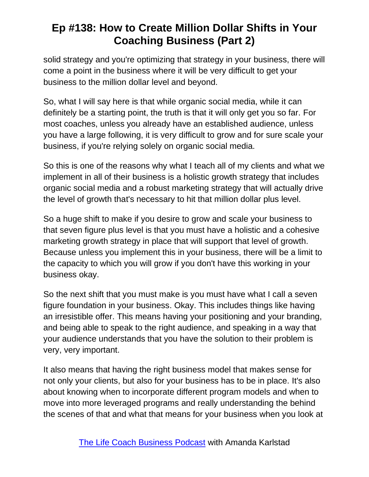solid strategy and you're optimizing that strategy in your business, there will come a point in the business where it will be very difficult to get your business to the million dollar level and beyond.

So, what I will say here is that while organic social media, while it can definitely be a starting point, the truth is that it will only get you so far. For most coaches, unless you already have an established audience, unless you have a large following, it is very difficult to grow and for sure scale your business, if you're relying solely on organic social media.

So this is one of the reasons why what I teach all of my clients and what we implement in all of their business is a holistic growth strategy that includes organic social media and a robust marketing strategy that will actually drive the level of growth that's necessary to hit that million dollar plus level.

So a huge shift to make if you desire to grow and scale your business to that seven figure plus level is that you must have a holistic and a cohesive marketing growth strategy in place that will support that level of growth. Because unless you implement this in your business, there will be a limit to the capacity to which you will grow if you don't have this working in your business okay.

So the next shift that you must make is you must have what I call a seven figure foundation in your business. Okay. This includes things like having an irresistible offer. This means having your positioning and your branding, and being able to speak to the right audience, and speaking in a way that your audience understands that you have the solution to their problem is very, very important.

It also means that having the right business model that makes sense for not only your clients, but also for your business has to be in place. It's also about knowing when to incorporate different program models and when to move into more leveraged programs and really understanding the behind the scenes of that and what that means for your business when you look at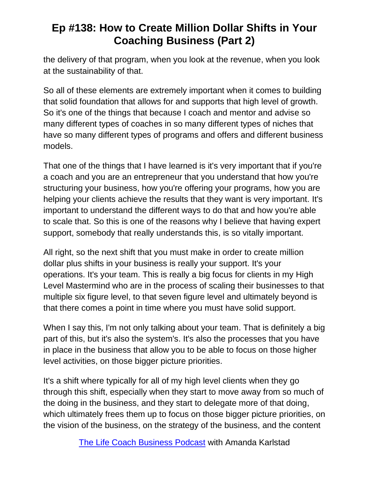the delivery of that program, when you look at the revenue, when you look at the sustainability of that.

So all of these elements are extremely important when it comes to building that solid foundation that allows for and supports that high level of growth. So it's one of the things that because I coach and mentor and advise so many different types of coaches in so many different types of niches that have so many different types of programs and offers and different business models.

That one of the things that I have learned is it's very important that if you're a coach and you are an entrepreneur that you understand that how you're structuring your business, how you're offering your programs, how you are helping your clients achieve the results that they want is very important. It's important to understand the different ways to do that and how you're able to scale that. So this is one of the reasons why I believe that having expert support, somebody that really understands this, is so vitally important.

All right, so the next shift that you must make in order to create million dollar plus shifts in your business is really your support. It's your operations. It's your team. This is really a big focus for clients in my High Level Mastermind who are in the process of scaling their businesses to that multiple six figure level, to that seven figure level and ultimately beyond is that there comes a point in time where you must have solid support.

When I say this, I'm not only talking about your team. That is definitely a big part of this, but it's also the system's. It's also the processes that you have in place in the business that allow you to be able to focus on those higher level activities, on those bigger picture priorities.

It's a shift where typically for all of my high level clients when they go through this shift, especially when they start to move away from so much of the doing in the business, and they start to delegate more of that doing, which ultimately frees them up to focus on those bigger picture priorities, on the vision of the business, on the strategy of the business, and the content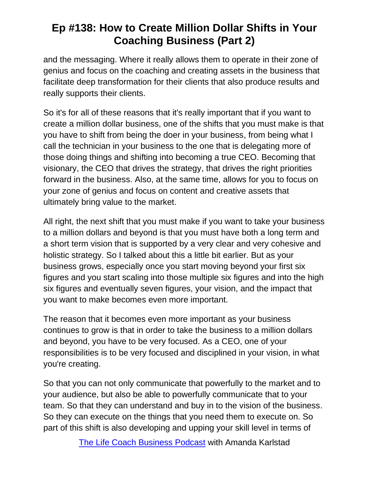and the messaging. Where it really allows them to operate in their zone of genius and focus on the coaching and creating assets in the business that facilitate deep transformation for their clients that also produce results and really supports their clients.

So it's for all of these reasons that it's really important that if you want to create a million dollar business, one of the shifts that you must make is that you have to shift from being the doer in your business, from being what I call the technician in your business to the one that is delegating more of those doing things and shifting into becoming a true CEO. Becoming that visionary, the CEO that drives the strategy, that drives the right priorities forward in the business. Also, at the same time, allows for you to focus on your zone of genius and focus on content and creative assets that ultimately bring value to the market.

All right, the next shift that you must make if you want to take your business to a million dollars and beyond is that you must have both a long term and a short term vision that is supported by a very clear and very cohesive and holistic strategy. So I talked about this a little bit earlier. But as your business grows, especially once you start moving beyond your first six figures and you start scaling into those multiple six figures and into the high six figures and eventually seven figures, your vision, and the impact that you want to make becomes even more important.

The reason that it becomes even more important as your business continues to grow is that in order to take the business to a million dollars and beyond, you have to be very focused. As a CEO, one of your responsibilities is to be very focused and disciplined in your vision, in what you're creating.

So that you can not only communicate that powerfully to the market and to your audience, but also be able to powerfully communicate that to your team. So that they can understand and buy in to the vision of the business. So they can execute on the things that you need them to execute on. So part of this shift is also developing and upping your skill level in terms of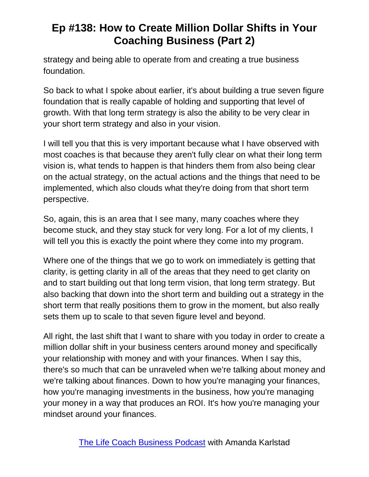strategy and being able to operate from and creating a true business foundation.

So back to what I spoke about earlier, it's about building a true seven figure foundation that is really capable of holding and supporting that level of growth. With that long term strategy is also the ability to be very clear in your short term strategy and also in your vision.

I will tell you that this is very important because what I have observed with most coaches is that because they aren't fully clear on what their long term vision is, what tends to happen is that hinders them from also being clear on the actual strategy, on the actual actions and the things that need to be implemented, which also clouds what they're doing from that short term perspective.

So, again, this is an area that I see many, many coaches where they become stuck, and they stay stuck for very long. For a lot of my clients, I will tell you this is exactly the point where they come into my program.

Where one of the things that we go to work on immediately is getting that clarity, is getting clarity in all of the areas that they need to get clarity on and to start building out that long term vision, that long term strategy. But also backing that down into the short term and building out a strategy in the short term that really positions them to grow in the moment, but also really sets them up to scale to that seven figure level and beyond.

All right, the last shift that I want to share with you today in order to create a million dollar shift in your business centers around money and specifically your relationship with money and with your finances. When I say this, there's so much that can be unraveled when we're talking about money and we're talking about finances. Down to how you're managing your finances, how you're managing investments in the business, how you're managing your money in a way that produces an ROI. It's how you're managing your mindset around your finances.